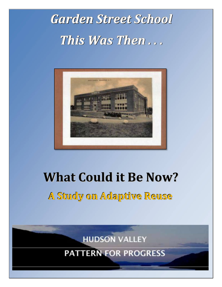*Garden Street School This Was Then . . .*



# **What Could it Be Now?**

**A Study on Adaptive Reuse**

**HUDSON VALLEY** 

**PATTERN FOR PROGRESS**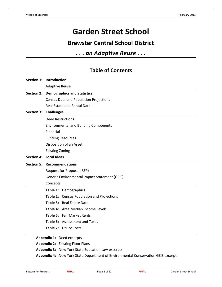## **Garden Street School**

### **Brewster Central School District**

### *. . . an Adaptive Reuse . . .*

### **Table of Contents**

|                   | Section 1: Introduction                                                          |  |  |  |  |
|-------------------|----------------------------------------------------------------------------------|--|--|--|--|
|                   | <b>Adaptive Reuse</b>                                                            |  |  |  |  |
|                   | <b>Section 2: Demographics and Statistics</b>                                    |  |  |  |  |
|                   | <b>Census Data and Population Projections</b>                                    |  |  |  |  |
|                   | Real Estate and Rental Data                                                      |  |  |  |  |
| <b>Section 3:</b> | <b>Challenges</b>                                                                |  |  |  |  |
|                   | <b>Deed Restrictions</b>                                                         |  |  |  |  |
|                   | <b>Environmental and Building Components</b>                                     |  |  |  |  |
|                   | Financial                                                                        |  |  |  |  |
|                   | <b>Funding Resources</b>                                                         |  |  |  |  |
|                   | Disposition of an Asset                                                          |  |  |  |  |
|                   | <b>Existing Zoning</b>                                                           |  |  |  |  |
|                   | Section 4: Local Ideas                                                           |  |  |  |  |
|                   | <b>Section 5: Recommendations</b>                                                |  |  |  |  |
|                   | Request for Proposal (RFP)                                                       |  |  |  |  |
|                   | Generic Environmental Impact Statement (GEIS)                                    |  |  |  |  |
|                   | Concepts                                                                         |  |  |  |  |
|                   | Table 1: Demographics                                                            |  |  |  |  |
|                   | Table 2: Census Population and Projections                                       |  |  |  |  |
|                   | Table 3: Real Estate Data                                                        |  |  |  |  |
|                   | Table 4: Area Median Income Levels                                               |  |  |  |  |
|                   | <b>Table 5: Fair Market Rents</b>                                                |  |  |  |  |
|                   | Table 6: Assessment and Taxes                                                    |  |  |  |  |
|                   | Table 7: Utility Costs                                                           |  |  |  |  |
|                   | Appendix 1: Deed excerpts                                                        |  |  |  |  |
|                   | <b>Appendix 2:</b> Existing Floor Plans                                          |  |  |  |  |
|                   | Appendix 3: New York State Education Law excerpts                                |  |  |  |  |
|                   | Appendix 4: New York State Department of Environmental Conservation GEIS excerpt |  |  |  |  |
|                   |                                                                                  |  |  |  |  |
|                   |                                                                                  |  |  |  |  |

Pattern for Progress **FINAL** Page 2 of 22 **FINAL FINAL** Garden Street School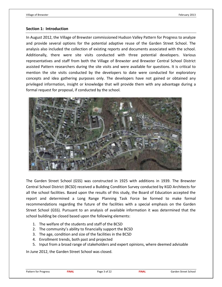#### **Section 1: Introduction**

In August 2012, the Village of Brewster commissioned Hudson Valley Pattern for Progress to analyze and provide several options for the potential adaptive reuse of the Garden Street School. The analysis also included the collection of existing reports and documents associated with the school. Additionally, there were site visits conducted with three potential developers. Various representatives and staff from both the Village of Brewster and Brewster Central School District assisted Pattern researchers during the site visits and were available for questions. It is critical to mention the site visits conducted by the developers to date were conducted for exploratory concepts and idea gathering purposes only. The developers have not gained or obtained any privileged information, insight or knowledge that will provide them with any advantage during a formal request for proposal, if conducted by the school.



The Garden Street School (GSS) was constructed in 1925 with additions in 1939. The Brewster Central School District (BCSD) received a Building Condition Survey conducted by KGD Architects for all the school facilities. Based upon the results of this study, the Board of Education accepted the report and determined a Long Range Planning Task Force be formed to make formal recommendations regarding the future of the facilities with a special emphasis on the Garden Street School (GSS). Pursuant to an analysis of available information it was determined that the school building be closed based upon the following elements:

- 1. The welfare of the students and staff of the BCSD
- 2. The community's ability to financially support the BCSD
- 3. The age, condition and size of the facilities in the BCSD
- 4. Enrollment trends, both past and projected
- 5. Input from a broad range of stakeholders and expert opinions, where deemed advisable

In June 2012, the Garden Street School was closed.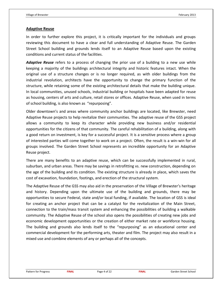#### **Adaptive Reuse**

In order to further explore this project, it is critically important for the individuals and groups reviewing this document to have a clear and full understanding of Adaptive Reuse. The Garden Street School building and grounds lends itself to an Adaptive Reuse based upon the existing conditions and current status of the facilities.

*Adaptive Reuse* refers to a process of changing the prior use of a building to a new use while keeping a majority of the buildings architectural integrity and historic features intact. When the original use of a structure changes or is no longer required, as with older buildings from the industrial revolution, architects have the opportunity to change the primary function of the structure, while retaining some of the existing architectural details that make the building unique. In local communities, unused schools, industrial building or hospitals have been adapted for reuse as housing, centers of arts and culture, retail stores or offices. Adaptive Reuse, when used in terms of school building, is also known as "repurposing".

Older downtown's and areas where community anchor buildings are located, like Brewster, need Adaptive Reuse projects to help revitalize their communities. The adaptive reuse of the GSS project allows a community to keep its character while providing new business and/or residential opportunities for the citizens of that community. The careful rehabilitation of a building, along with a good return on investment, is key for a successful project. It is a sensitive process where a group of interested parties will come together to work on a project. Often, the result is a win-win for all groups involved. The Garden Street School represents an incredible opportunity for an Adaptive Reuse project.

There are many benefits to an adaptive reuse, which can be successfully implemented in rural, suburban, and urban areas. There may be savings in retrofitting vs. new construction, depending on the age of the building and its condition. The existing structure is already in place, which saves the cost of excavation, foundation, footings, and erection of the structural system.

The Adaptive Reuse of the GSS may also aid in the preservation of the Village of Brewster's heritage and history. Depending upon the ultimate use of the building and grounds, there may be opportunities to secure Federal, state and/or local funding, if available. The location of GSS is ideal for creating an anchor project that can be a catalyst for the revitalization of the Main Street, connection to the train/mass transit system and enhancing the possibilities of building a walkable community. The Adaptive Reuse of the school also opens the possibilities of creating new jobs and economic development opportunities or the creation of either market rate or workforce housing. The building and grounds also lends itself to the "repurposing" as an educational center and commercial development for the performing arts, theater and film. The project may also result in a mixed use and combine elements of any or perhaps all of the concepts.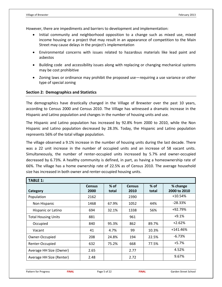However, there are impediments and barriers to development and implementation:

- Initial community and neighborhood opposition to a change such as mixed use, mixed income housing or a project that may result in an appearance of competition to the Main Street may cause delays in the project's implementation
- Environmental concerns with issues related to hazardous materials like lead paint and asbestos
- Building code and accessibility issues along with replacing or changing mechanical systems may be cost prohibitive
- Zoning laws or ordinance may prohibit the proposed use—requiring a use variance or other type of special zoning

#### **Section 2: Demographics and Statistics**

The demographics have drastically changed in the Village of Brewster over the past 10 years, according to Census 2000 and Census 2010. The Village has witnessed a dramatic increase in the Hispanic and Latino population and changes in the number of housing units and use.

The Hispanic and Latino population has increased by 92.8% from 2000 to 2010, while the Non Hispanic and Latino population decreased by 28.3%. Today, the Hispanic and Latino population represents 56% of the total village population.

The village observed a 9.1% increase in the number of housing units during the last decade. There was a 22 unit increase in the number of occupied units and an increase of 58 vacant units. Simultaneously, the number of renter-occupied units increased by 5.7% and owner-occupied decreased by 6.73%. A healthy community is defined, in part, as having a homeownership rate of 66%. The village has a home ownership rate of 22.5% as of Census 2010. The average household size has increased in both owner and renter-occupied housing units.

| <b>TABLE 1:</b>            |               |        |               |        |              |  |
|----------------------------|---------------|--------|---------------|--------|--------------|--|
|                            | <b>Census</b> | $%$ of | <b>Census</b> | $%$ of | % change     |  |
| Category                   | 2000          | total  | 2010          | total  | 2000 to 2010 |  |
| Population                 | 2162          |        | 2390          |        | $+10.54%$    |  |
| Non Hispanic               | 1468          | 67.9%  | 1052          | 44%    | $-28.33%$    |  |
| Hispanic or Latino         | 694           | 32.1%  | 1338          | 56%    | +92.79%      |  |
| <b>Total Housing Units</b> | 881           |        | 961           |        | $+9.1%$      |  |
| Occupied                   | 840           | 95.3%  | 862           | 89.7%  | $+2.62%$     |  |
| Vacant                     | 41            | 4.7%   | 99            | 10.3%  | +141.46%     |  |
| Owner-Occupied             | 208           | 24.8%  | 194           | 22.5%  | $-6.73%$     |  |
| Renter-Occupied            | 632           | 75.2%  | 668           | 77.5%  | $+5.7%$      |  |
| Average HH Size (Owner)    | 2.65          |        | 2.77          |        | 4.52%        |  |
| Average HH Size (Renter)   | 2.48          |        | 2.72          |        | 9.67%        |  |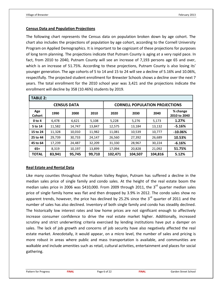#### **Census Data and Population Projections**

The following chart represents the Census data on population broken down by age cohort. The chart also includes the projections of population by age cohort, according to the Cornell University Program on Applied Demographics. It is important to be cognizant of these projections for purposes of long term planning. The projections indicate that Putnam County is aging at a very rapid pace. In fact, from 2010 to 2040, Putnam County will see an increase of 7,193 persons age 65 and over, which is an increase of 51.75%. According to these projections, Putnam County is also losing its' younger generation. The age cohorts of 5 to 14 and 15 to 24 will see a decline of 5.16% and 10.06%, respectfully. The projected student enrollment for Brewster Schools shows a decline over the next 7 years. The total enrollment for the 2010 school year was 3,421 and the projections indicate the enrollment will decline by 358 (10.46%) students by 2019.

| <b>TABLE 2:</b>      |        |                    |        |         |                                       |         |                          |
|----------------------|--------|--------------------|--------|---------|---------------------------------------|---------|--------------------------|
|                      |        | <b>CENSUS DATA</b> |        |         | <b>CORNELL POPULATION PROJECTIONS</b> |         |                          |
| Age<br><b>Cohort</b> | 1990   | 2000               | 2010   | 2020    | 2030                                  | 2040    | % change<br>2010 to 2040 |
| $0$ to 4             | 6.478  | 6,621              | 5,108  | 5,228   | 5,276                                 | 5,173   | 1.27%                    |
| 5 to 14              | 11,582 | 14,747             | 13,847 | 12,575  | 13,184                                | 13,132  | $-5.16%$                 |
| 15 to 24             | 11,328 | 10,010             | 11,982 | 11,081  | 10,539                                | 10,777  | $-10.06%$                |
| 25 to 44             | 29,739 | 30,733             | 24,147 | 26,560  | 27,392                                | 26,689  | 10.53%                   |
| 45 to 64             | 17,239 | 24,487             | 32,209 | 31,330  | 28,967                                | 30,224  | $-6.16%$                 |
| $65+$                | 8,319  | 10,197             | 13,899 | 17,094  | 20,828                                | 21,092  | 51.75%                   |
| <b>TOTAL</b>         | 83,941 | 95,745             | 99,710 | 102,471 | 104,507                               | 104,816 | 5.12%                    |

#### **Real Estate and Rental Data**

Like many counties throughout the Hudson Valley Region, Putnam has suffered a decline in the median sales price of single family and condo sales. At the height of the real estate boom the median sales price in 2006 was \$410,000. From 2009 through 2011, the 3<sup>rd</sup> quarter median sales price of single family home was flat and then dropped by 3.9% in 2012. The condo sales show no apparent trends, however, the price has declined by 25.2% since the  $3<sup>rd</sup>$  quarter of 2011 and the number of sales has also declined. Inventory of both single family and condo has steadily declined. The historically low interest rates and low home prices are not significant enough to affectively increase consumer confidence to drive the real estate market higher. Additionally, increased scrutiny and strict underwriting criteria exercised by lending institutions have put a damper on sales. The lack of job growth and concerns of job security have also negatively affected the real estate market. Anecdotally, it would appear, on a micro level, the number of sales and pricing is more robust in areas where public and mass transportation is available, and communities are walkable and include amenities such as retail, cultural activities, entertainment and places for social gathering.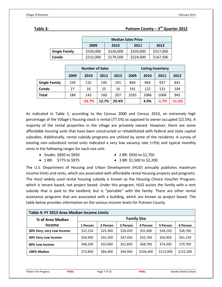#### **Table 3: Putnam County – 3 rd Quarter 2012**

|                      | <b>Median Sales Price</b> |           |           |           |  |
|----------------------|---------------------------|-----------|-----------|-----------|--|
|                      | 2009                      | 2010      | 2011      | 2012      |  |
| <b>Single Family</b> | \$330,000                 | \$330,000 | \$330,000 | \$317,000 |  |
| Condo                | \$215,000                 | \$179,500 | \$224,000 | \$167,500 |  |

|                      | <b>Number of Sales</b> |          |       |       | <b>Listing Inventory</b> |      |         |          |
|----------------------|------------------------|----------|-------|-------|--------------------------|------|---------|----------|
|                      | 2009                   | 2010     | 2011  | 2012  | 2009                     | 2010 | 2011    | 2012     |
| <b>Single Family</b> | 159                    | 132      | 145   | 191   | 894                      | 964  | 937     | 841      |
| Condo                | 27                     | 10       | 15    | 16    | 141                      | 122  | 131     | 104      |
| <b>Total</b>         | 186                    | 142      | 160   | 207   | 1035                     | 1086 | 1068    | 945      |
|                      |                        | $-23.7%$ | 12.7% | 29.4% |                          | 4.9% | $-1.7%$ | $-11.5%$ |

As indicated in Table 1, according to the Census 2000 and Census 2010, an extremely high percentage of the Village's housing stock is rental (77.5%) as opposed to owner occupied (22.5%). A majority of the rental properties in the village are privately owned. However, there are some affordable housing units that have been constructed or rehabilitated with federal and state capital subsidies. Additionally, rental subsidy programs are utilized by some of the residents. A survey of existing non-subsidized rental units indicated a very low vacancy rate (<5%) and typical monthly rents in the following ranges for each size unit:

• Studio: \$850 to \$950

2 BR: \$950 to \$1,750

 $\bullet$  1 BR: \$775 to \$975

 $\bullet$  3 BR: \$1,500 to \$2,200

The U.S. Department of Housing and Urban Development (HUD) annually publishes maximum income limits and rents, which are associated with affordable rental housing projects and programs. The most widely used rental housing subsidy is known as the Housing Choice Voucher Program, which is tenant based, not project based. Under this program, HUD assists the family with a rent subsidy that is paid to the landlord, but is "portable" with the family. There are other rental assistance programs that are associated with a building, which are known as project based. The table below provides information on the various income levels for Putnam County.

| Table 4: FY 2013 Area Median Income Limits |                    |          |          |           |           |           |  |
|--------------------------------------------|--------------------|----------|----------|-----------|-----------|-----------|--|
| % of Area Median                           | <b>Family Size</b> |          |          |           |           |           |  |
| <b>Income</b>                              | 1 Person           | 2 Person | 3 Person | 4 Person  | 5 Person  | 6 Person  |  |
| 30% Very, very Low Income                  | \$22,150           | \$25,300 | \$28,450 | \$31,600  | \$34,150  | \$36,700  |  |
| 50% Very Low Income                        | \$36,900           | \$42,200 | \$47,450 | \$52,700  | \$56,950  | \$61,150  |  |
| 80% Low Income                             | \$48,100           | \$55,000 | \$61,850 | \$68,700  | \$74,200  | \$79,700  |  |
| 100% Median                                | \$73,800           | \$84,400 | \$94,900 | \$104,400 | \$113,900 | \$122,300 |  |

### **Table 4: FY 2013 Area Median Income Limits**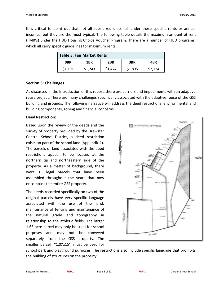It is critical to point out that not all subsidized units fall under these specific rents or annual incomes, but they are the most typical. The following table details the maximum amount of rent (FMR's) under the HUD Housing Choice Voucher Program. There are a number of HUD programs, which all carry specific guidelines for maximum rents.

| <b>Table 5: Fair Market Rents</b>      |         |         |         |         |  |  |
|----------------------------------------|---------|---------|---------|---------|--|--|
| <b>OBR</b><br>3BR<br>1BR<br>2BR<br>4BR |         |         |         |         |  |  |
| \$1,191                                | \$1,243 | \$1,474 | \$1,895 | \$2,124 |  |  |

#### **Section 3: Challenges**

As discussed in the Introduction of this report, there are barriers and impediments with an adaptive reuse project. There are many challenges specifically associated with the adaptive reuse of the GSS building and grounds. The following narrative will address the deed restrictions, environmental and building components, zoning and financial concerns.

#### **Deed Restriction:**

Based upon the review of the deeds and the survey of property provided by the Brewster Central School District, a deed restriction exists on part of the school land (Appendix 1). The parcels of land associated with the deed restrictions appear to be located at the northern tip and northeastern side of the property. As a matter of background, there were 15 legal parcels that have been assembled throughout the years that now encompass the entire GSS property.

The deeds recorded specifically on two of the original parcels have very specific language associated with the use of the land, maintenance of fencing and maintenance of the natural grade and topography in relationship to the athletic fields. The larger 1.63 acre parcel may only be used for school purposes and may not be conveyed separately from the GSS property. The smaller parcel (~120'x15') must be used for



school park and playground purposes. The restrictions also include specific language that prohibits the building of structures on the property.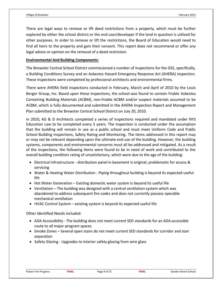There are legal ways to remove or lift deed restrictions from a property, which must be further explored by either the school district or the end user/developer if the land in question is utilized for other purposes. In order to remove or lift the restrictions, the Board of Education would need to find all heirs to the property and gain their consent. This report does not recommend or offer any legal advice or opinion on the removal of a deed restriction.

#### **Environmental And Building Components:**

The Brewster Central School District commissioned a number of inspections for the GSS, specifically, a Building Conditions Survey and an Asbestos Hazard Emergency Response Act (AHERA) inspection. These inspections were completed by professional architects and environmental firms.

There were AHERA field inspections conducted in February, March and April of 2010 by the Louis Berger Group, Inc. Based upon these inspections, the school was found to contain friable Asbestos Containing Building Materials (ACBM), non-friable ACBM and/or suspect materials assumed to be ACBM, which is fully documented and submitted in the AHERA Inspection Report and Management Plan submitted to the Brewster Central School District on July 20, 2010.

In 2010, KG & D Architects completed a series of inspections required and mandated under NYS Education Law to be completed every 5 years. The inspection is conducted under the assumption that the building will remain in use as a public school and must meet Uniform Code and Public School Building Inspections, Safety Rating and Monitoring. The items addressed in this report may or may not be relevant depending upon the ultimate end use of the building. However, the building systems, components and environmental concerns must all be addressed and mitigated. As a result of the inspections, the following items were found to be in need of work and contributed to the overall building condition rating of unsatisfactory, which were due to the age of the building:

- Electrical Infrastructure distribution panel in basement is original; problematic for access & servicing
- Water & Heating Water Distribution Piping throughout building is beyond its expected useful life
- Hot Water Generation Existing domestic water system is beyond its useful life
- Ventilation The building was designed with a central ventilation system which was abandoned to address subsequent fire codes and does not currently possess operable mechanical ventilation
- HVAC Control System existing system is beyond its expected useful life

Other Identified Needs included:

- ADA Accessibility The building does not meet current SED standards for an ADA accessible route to all major program spaces
- Smoke Zones Several open stairs do not meet current SED standards for corridor and stair separation
- Safety Glazing Upgrades to interior safety glazing from wire glass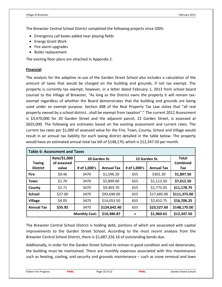The Brewster Central School District completed the following projects since 2005:

- Emergency call boxes added near playing fields
- Energy Grant Work
- Fire alarm upgrades
- Boiler replacement

The existing floor plans are attached in Appendix 2.

#### **Financial**

The analysis for the adaptive re-use of the Garden Street School also includes a calculation of the amount of taxes that would be charged on the building and grounds, if not tax exempt. The property is currently tax exempt; however, in a letter dated February 1, 2013 from school board counsel to the Village of Brewster, "As long as the District owns the property it will remain taxexempt regardless of whether the Board demonstrates that the building and grounds are being used under an exempt purpose. Section 408 of the Real Property Tax Law states that "all real property owned by a school district…shall be exempt from taxation"." The current 2012 Assessment is \$3,470,000 for 20 Garden Street and the adjacent parcel, 22 Garden Street, is assessed at \$655,000. The following are estimates based on the existing assessment and current rates. The current tax rates per \$1,000 of assessed value for the Fire, Town, County, School and Village would result in an annual tax liability for each taxing district detailed in the table below. The property would have an estimated annual total tax bill of \$148,170, which is \$12,347.50 per month.

| <b>Table 6: Assessment and Taxes</b> |                      |                      |                   |               |                   |                 |
|--------------------------------------|----------------------|----------------------|-------------------|---------------|-------------------|-----------------|
|                                      | Rate/\$1,000         | 20 Garden St.        |                   | 22 Garden St. | <b>Total</b>      |                 |
| <b>Taxing</b><br><b>District</b>     | of assessed<br>value | # of 1,000's         | <b>Annual Tax</b> | # of 1,000's  | <b>Annual Tax</b> | Combined<br>Tax |
| <b>Fire</b>                          | \$0.46               | 3470                 | \$1,596.20        | 655           | \$301.30          | \$1,897.50      |
| Town                                 | \$1.70               | 3470                 | \$5,899.00        | 655           | \$1,113.50        | \$7,012.50      |
| County                               | \$2.71               | 3470                 | \$9,403.70        | 655           | \$1,775.05        | \$11,178.75     |
| <b>School</b>                        | \$27.00              | 3470                 | \$93,690.00       | 655           | \$17,685.00       | \$111,375.00    |
| <b>Village</b>                       | \$4.05               | 3470                 | \$14,053.50       | 655           | \$2,652.75        | \$16,706.25     |
| <b>Annual Tax</b>                    | \$35.92              | 3470                 | \$124,642.40      | 655           | \$23,527.60       | \$148,170.00    |
|                                      |                      | <b>Monthly Cost:</b> | \$10,386.87       | ٠             | \$1,960.63        | \$12,347.50     |

The Brewster Central School District is holding debt, portions of which are associated with capital improvements to the Garden Street School. According to the most recent analysis from the Brewster Central School District, there is \$1,687,326.16 of outstanding bonds due.

Additionally, in order for the Garden Street School to remain in good condition and not deteriorate, the building must be maintained. There are monthly expenses associated with this maintenance such as heating, cooling, and security and grounds maintenance – such as snow removal and lawn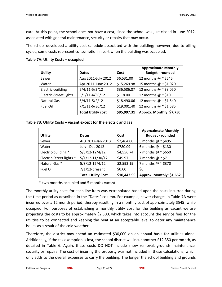care. At this point, the school does not have a cost, since the school was just closed in June 2012, associated with general maintenance, security or repairs that may occur.

The school developed a utility cost schedule associated with the building; however, due to billing cycles, some costs represent consumption in part when the building was occupied.

|                        |                           |             | <b>Approximate Monthly</b>      |
|------------------------|---------------------------|-------------|---------------------------------|
| <b>Utility</b>         | <b>Dates</b>              | Cost        | <b>Budget - rounded</b>         |
| Sewer                  | Aug 2011-July 2012        | \$6,531.00  | 12 months $@ \sim $545$         |
| Water                  | Apr 2011-June 2012        | \$15,269.98 | 15 months $\omega \sim 1,020$   |
| Electric-building      | $5/4/11-5/2/12$           | \$36,586.87 | 12 months $\omega \sim$ \$3,050 |
| Electric-Street lights | $5/1/11 - 4/30/12$        | \$118.00    | 12 months $@ \sim $10$          |
| <b>Natural Gas</b>     | $5/4/11-5/2/12$           | \$18,490.06 | 12 months $@$ ~ \$1,540         |
| Fuel Oil               | 7/1/11-6/30/12            | \$19,001.40 | 12 months $\omega \sim 1,585$   |
|                        | <b>Total Utility cost</b> | \$95,997.31 | Approx. Monthly: \$7,750        |

#### **Table 7A: Utility Costs – occupied**

#### **Table 7B: Utility Costs – vacant except for the electric and gas**

|                          |                           |             | <b>Approximate Monthly</b>   |
|--------------------------|---------------------------|-------------|------------------------------|
| <b>Utility</b>           | <b>Dates</b>              | Cost        | <b>Budget - rounded</b>      |
| Sewer                    | Aug 2012-Jan 2013         | \$2,464.00  | 5 months $\omega \sim 1495$  |
| Water                    | July - Dec 2012           | \$780.09    | 6 months $\omega \sim 130$   |
| Electric-building *      | $5/3/12 - 12/4/12$        | \$4,556.74  | 7 months $\omega \sim$ \$650 |
| Electric-Street lights * | $5/1/12 - 11/30/12$       | \$49.97     | 7 months $@ \sim $7$         |
| Natural Gas *            | $5/3/12 - 12/4/12$        | \$2,593.19  | 7 months $\omega \sim$ \$370 |
| Fuel Oil                 | $7/1/12$ -present         | \$0.00      | \$0                          |
|                          | <b>Total Utility Cost</b> | \$10,443.99 | Approx. Monthly: \$1,652     |

\* two months occupied and 5 months vacant

The monthly utility costs for each line item was extrapolated based upon the costs incurred during the time period as described in the "Dates" column. For example, sewer charges in Table 7A were incurred over a 12 month period, thereby resulting in a monthly cost of approximately \$545, while occupied. For purposes of establishing a monthly utility cost for the building as vacant we are projecting the costs to be approximately \$2,500, which takes into account the service fees for the utilities to be connected and keeping the heat at an acceptable level to deter any maintenance issues as a result of the cold weather.

Therefore, the district may spend an estimated \$30,000 on an annual basis for utilities alone. Additionally, if the tax exemption is lost, the school district will incur another \$12,350 per month, as detailed in Table 6. Again, these costs DO NOT include snow removal, grounds maintenance, security or repairs. The cost of insuring the property was not included in these calculations, which only adds to the overall expenses to carry the building. The longer the school building and grounds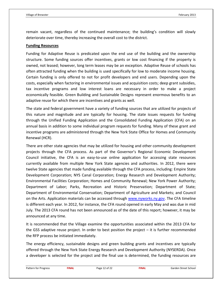remain vacant, regardless of the continued maintenance; the building's condition will slowly deteriorate over time, thereby increasing the overall cost to the district.

#### **Funding Resources**

Funding for Adaptive Reuse is predicated upon the end use of the building and the ownership structure. Some funding sources offer incentives, grants or low cost financing if the property is owned, not leased; however, long term leases may be an exception. Adaptive Reuse of schools has often attracted funding when the building is used specifically for low to moderate income housing. Certain funding is only offered to not for profit developers and end users. Depending upon the costs, especially when factoring in environmental issues and acquisition costs; deep grant subsidies, tax incentive programs and low interest loans are necessary in order to make a project economically feasible. Green Building and Sustainable Designs represent enormous benefits to an adaptive reuse for which there are incentives and grants as well.

The state and federal government have a variety of funding sources that are utilized for projects of this nature and magnitude and are typically for housing. The state issues requests for funding through the Unified Funding Application and the Consolidated Funding Application (CFA) on an annual basis in addition to some individual program requests for funding. Many of these grant and incentive programs are administered through the New York State Office for Homes and Community Renewal (HCR).

There are other state agencies that may be utilized for housing and other community development projects through the CFA process. As part of the Governor's Regional Economic Development Council initiative, the CFA is an easy-to-use online application for accessing state resources currently available from multiple New York State agencies and authorities. In 2012, there were twelve State agencies that made funding available through the CFA process, including: Empire State Development Corporation; NYS Canal Corporation; Energy Research and Development Authority; Environmental Facilities Corporation; Homes and Community Renewal; New York Power Authority; Department of Labor; Parks, Recreation and Historic Preservation; Department of State; Department of Environmental Conservation; Department of Agriculture and Markets; and Council on the Arts. Application materials can be accessed through [www.nyworks.ny.gov.](http://www.nyworks.ny.gov/) The CFA timeline is different each year. In 2012, for instance, the CFA round opened in early May and was due in mid July. The 2013 CFA round has not been announced as of the date of this report; however, it may be announced at any time.

It is recommended that the Village examine the opportunities associated within the 2013 CFA for the GSS adaptive reuse project. In order to best position the project  $-$  it is further recommended the RFP process be initiated immediately.

The energy efficiency, sustainable designs and green building grants and incentives are typically offered through the New York State Energy Research and Development Authority (NYSERDA). Once a developer is selected for the project and the final use is determined, the funding resources are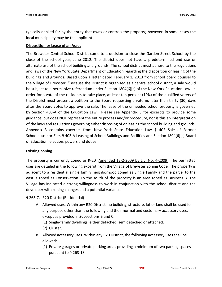typically applied for by the entity that owns or controls the property; however, in some cases the local municipality may be the applicant.

#### **Disposition or Lease of an Asset**

The Brewster Central School District came to a decision to close the Garden Street School by the close of the school year, June 2012. The district does not have a predetermined end use or alternate use of the school building and grounds. The school district must adhere to the regulations and laws of the New York State Department of Education regarding the disposition or leasing of the buildings and grounds. Based upon a letter dated February 1, 2013 from school board counsel to the Village of Brewster, "Because the District is organized as a central school district, a sale would be subject to a permissive referendum under Section 1804[6][c] of the New York Education Law. In order for a vote of the residents to take place, at least ten percent (10%) of the qualified voters of the District must present a petition to the Board requesting a vote no later than thirty (30) days after the Board votes to approve the sale. The lease of the unneeded school property is governed by Section 403-A of the Education Law. Please see Appendix 3 for excerpts to provide some guidance, but does NOT represent the entire process and/or procedure, nor is this an interpretation of the laws and regulations governing either disposing of or leasing the school building and grounds. Appendix 3 contains excerpts from New York State Education Law § 402 Sale of Former Schoolhouse or Site, § 403-A Leasing of School Buildings and Facilities and Section 1804[6][c] Board of Education; election; powers and duties.

#### **Existing Zoning**

The property is currently zoned as R-20 [Amended 12-2-2009 by L.L. No. 4-2009]. The permitted uses are detailed in the following excerpt from the Village of Brewster Zoning Code. The property is adjacent to a residential single family neighborhood zoned as Single Family and the parcel to the east is zoned as Conservation. To the south of the property is an area zoned as Business 3. The Village has indicated a strong willingness to work in conjunction with the school district and the developer with zoning changes and a potential variance.

- § 263-7. R20 District (Residential)
	- A. Allowed uses. Within any R20 District, no building, structure, lot or land shall be used for any purpose other than the following and their normal and customary accessory uses, except as provided in Subsections B and C:
		- (1) Single-family dwellings, either detached, semidetached or attached.
		- (2) Cluster.
	- B. Allowed accessory uses. Within any R20 District, the following accessory uses shall be allowed:
		- (1) Private garages or private parking areas providing a minimum of two parking spaces pursuant to § 263-18.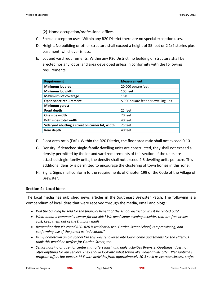- (2) Home occupation/professional offices.
- C. Special exception uses. Within any R20 District there are no special exception uses.
- D. Height. No building or other structure shall exceed a height of 35 feet or 2 1/2 stories plus basement, whichever is less.
- E. Lot and yard requirements. Within any R20 District, no building or structure shall be erected nor any lot or land area developed unless in conformity with the following requirements:

| <b>Requirement</b>                               | <b>Measurement</b>                  |
|--------------------------------------------------|-------------------------------------|
| Minimum lot area                                 | 20,000 square feet                  |
| Minimum lot width                                | 100 feet                            |
| <b>Maximum lot coverage</b>                      | 15%                                 |
| Open space requirement                           | 5,000 square feet per dwelling unit |
| Minimum yards:                                   |                                     |
| <b>Front depth</b>                               | 25 feet                             |
| One side width                                   | 20 feet                             |
| <b>Both sides total width</b>                    | 40 feet                             |
| Side yard abutting a street on corner lot, width | 25 feet                             |
| Rear depth                                       | 40 feet                             |

- F. Floor area ratio (FAR). Within the R20 District, the floor area ratio shall not exceed 0.10.
- G. Density. If detached single-family dwelling units are constructed, they shall not exceed a density permitted by the lot and yard requirements of this section. If the units are attached single-family units, the density shall not exceed 2.5 dwelling units per acre. This additional density is permitted to encourage the clustering of town homes in this zone.
- H. Signs. Signs shall conform to the requirements of Chapter 199 of the Code of the Village of Brewster.

#### **Section 4: Local Ideas**

The local media has published news articles in the Southeast Brewster Patch. The following is a compendium of local ideas that were received through the media, email and blogs:

- *Will the building be sold for the financial benefit of the school district or will it be rented out?*
- *What about a community center for our kids? We need some evening activities that are free or low cost, keep them out of the Danbury mall!*
- *Remember that it's zoned R20. R20 is residential use. Garden Street School, is a preexisting, non conforming use of the parcel as "education."*
- *In my hometown an old school like this was renovated into low-income apartments for the elderly. I think this would be perfect for Garden Street, too.*
- *Senior housing or a senior center that offers lunch and daily activities Brewster/Southeast does not offer anything for our seniors. They should look into what towns like Pleasantville offer. Pleasantville's program offers hot lunches M-F with activities from approximately 10-3 such as exercise classes, crafts*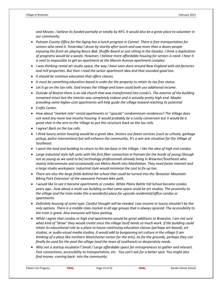*and Movies. I believe its funded partially or totally by NYS. It would also be a great place to volunteer in our community.*

- *Putnam County Office for the Aging has a lunch program in Carmel. There is free transportation for seniors who need it. Yesterday I drove by shortly after lunch and saw more than a dozen people enjoying the fresh air playing Bocce Ball, Shuffle Board or just sitting in the Gazebo. I think a duplication of programs would be a waste. However, I believe more affordable housing for seniors is need. I hear it is next to impossible to get an apartment at the Marvin Avenue apartment complex.*
- *I was thinking rental art studio space, the way I have seen done around New England with old factories and mill properties. But then I read the senior apartment idea and that sounded good too.*
- *It should be continue education that offers classes.*
- *It must be something education based in order for the property to retain its tax free status.*
- *Let it go on the tax rolls. God knows the Village and town could both use additional income.*
- *Outside of Boston there is an old church that was transformed into condo's. The exterior of the building remained intact but the interior was completely redone and is actually pretty high-end. Maybe providing some higher-cost apartments will help guide the village toward reaching its potential*
- *Crafts Center.*
- *How about "market rate" rental apartments or "upscale" condominium residences? The Village does not need any more low income housing. It would probably be a costly conversion but it would be a great shot in the arm to the Village to put this structure back on the tax rolls.*
- *I agree! Back on the tax rolls.*
- *I think luxury senior housing would be a great idea. Seniors use fewer services (such as schools, garbage pickup, police intervention) but will enhance the community. It's a win-win situation for the Village of Southeast.*
- *I want the land and building to return to the tax base in the Village. I like the idea of high end condos.*
- *Large industrial style loft units with the first fiber connection in Putnam for the horde of young (though not as young as we used to be) technology professionals already living in Brewster/Southeast who mainly telecommute and occasionally use Metro-North into Manhattan. They need faster internet and a large studio workspace. Industrial style would minimize the cost to fix up too.*
- *There are also the large fields behind the school that could be turned into the 'Brewster Mountain Biking Park Extension' of the awesome Putnam bike path.*
- *I would like to see it become apartments or condos. White Plains Battle Hill School became condos years ago...how about a multi use building so that some space could be art studios. The proximity to the village and the train make this a wonderful place for upscale residential/office condos or apartments.*
- *Definitely housing of some type. Careful thought will be needed. Low income or luxury shouldn't be the only options. There is a middle class market in all age groups that is always ignored. The accessibility to the train is great. Also everyone will have parking.*
- *While I agree that condos or high end apartments would be great additions to Brewster, I am not sure what kind of "draw" they would create since the village itself needs so much work. If the building could retain its educational role as a place to house continuing education classes (perhaps art-based), art studios, or audio-visual media studios, it would add to burgeoning art culture in the village (I am thinking of a place like northern Westchester center for the arts). As for the grounds, perhaps they can finally be used for the pool the village (and the town of southeast) so desperately needs.*
- *Why not a startup incubator? Small / Large affordable space for entrepreneurs to gather and interact. Fast connections, accessibility to transportation, etc. You can't ask for a better spot. You might also find money -coming back- into the community.*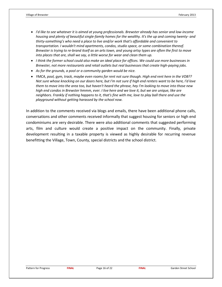- *I'd like to see whatever it is aimed at young professionals. Brewster already has senior and low-income housing and plenty of beautiful single-family homes for the wealthy. It's the up and coming twenty- and thirty-something's who need a place to live and/or work that's affordable and convenient to transportation. I wouldn't mind apartments, condos, studio space, or some combination thereof. Brewster is trying to re-brand itself as an arts town, and young artsy types are often the first to move into places that are, shall we say, a little worse for wear and clean them up.*
- *I think the former school could also make an ideal place for offices. We could use more businesses in Brewster, not more restaurants and retail outlets but real businesses that create high-paying jobs.*
- *As for the grounds, a pool or a community garden would be nice.*
- *YMCA, pool, gym, track, maybe even rooms for rent not sure though. High end rent here in the VOB?? Not sure whose knocking on our doors here, but I'm not sure if high end renters want to be here, I'd love them to move into the area too, but haven't heard the phrase, hey I'm looking to move into those new high end condos in Brewster hmmm, ever. I live here and we love it, but we are unique, like are neighbors. Frankly if nothing happens to it, that's fine with me, love to play ball there and use the playground without getting harassed by the school now.*

In addition to the comments received via blogs and emails, there have been additional phone calls, conversations and other comments received informally that suggest housing for seniors or high end condominiums are very desirable. There were also additional comments that suggested performing arts, film and culture would create a positive impact on the community. Finally, private development resulting in a taxable property is viewed as highly desirable for recurring revenue benefitting the Village, Town, County, special districts and the school district.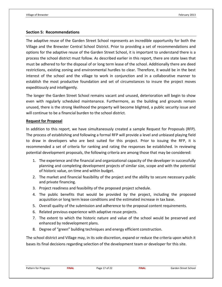#### **Section 5: Recommendations**

The adaptive reuse of the Garden Street School represents an incredible opportunity for both the Village and the Brewster Central School District. Prior to providing a set of recommendations and options for the adaptive reuse of the Garden Street School, it is important to understand there is a process the school district must follow. As described earlier in this report, there are state laws that must be adhered to for the disposal of or long term lease of the school. Additionally there are deed restrictions, existing zoning and environmental hurdles to clear. Therefore, it would be in the best interest of the school and the village to work in conjunction and in a collaborative manner to establish the most productive foundation and set of circumstances to insure the project moves expeditiously and intelligently.

The longer the Garden Street School remains vacant and unused, deterioration will begin to show even with regularly scheduled maintenance. Furthermore, as the building and grounds remain unused, there is the strong likelihood the property will become blighted, a public security issue and will continue to be a financial burden to the school district.

#### **Request for Proposal**

In addition to this report, we have simultaneously created a sample Request for Proposals (RFP). The process of establishing and following a formal RFP will provide a level and unbiased playing field to draw in developers who are best suited for this project. Prior to issuing the RFP, it is recommended a set of criteria for ranking and rating the responses be established. In reviewing potential development proposals, the following criteria are among those that may be considered:

- 1. The experience and the financial and organizational capacity of the developer in successfully planning and completing development projects of similar size, scope and with the potential of historic value, on time and within budget.
- 2. The market and financial feasibility of the project and the ability to secure necessary public and private financing.
- 3. Project readiness and feasibility of the proposed project schedule.
- 4. The public benefits that would be provided by the project, including the proposed acquisition or long term lease conditions and the estimated increase in tax base.
- 5. Overall quality of the submission and adherence to the proposal content requirements.
- 6. Related previous experience with adaptive reuse projects.
- 7. The extent to which the historic nature and value of the school would be preserved and enhanced by redevelopment plans.
- 8. Degree of "green" building techniques and energy efficient construction.

The school district and Village may, in its sole discretion, expand or reduce the criteria upon which it bases its final decisions regarding selection of the development team or developer for this site.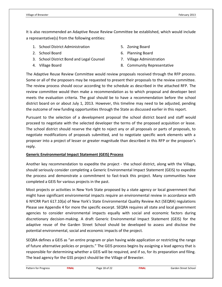It is also recommended an Adaptive Reuse Review Committee be established, which would include a representative(s) from the following entities:

- 1. School District Administration
- 2. School Board
- 3. School District Bond and Legal Counsel
- 4. Village Board
- 5. Zoning Board
- 6. Planning Board
- 7. Village Administration
- 8. Community Representative

The Adaptive Reuse Review Committee would review proposals received through the RFP process. Some or all of the proposers may be requested to present their proposals to the review committee. The review process should occur according to the schedule as described in the attached RFP. The review committee would then make a recommendation as to which proposal and developer best meets the evaluation criteria. The goal should be to have a recommendation before the school district board on or about July 1, 2013. However, this timeline may need to be adjusted, pending the outcome of new funding opportunities through the State as discussed earlier in this report.

Pursuant to the selection of a development proposal the school district board and staff would proceed to negotiate with the selected developer the terms of the proposed acquisition or lease. The school district should reserve the right to reject any or all proposals or parts of proposals, to negotiate modifications of proposals submitted, and to negotiate specific work elements with a proposer into a project of lesser or greater magnitude than described in this RFP or the proposer's reply.

#### **Generic Environmental Impact Statement (GEIS) Process**

Another key recommendation to expedite the project - the school district, along with the Village, should seriously consider completing a Generic Environmental Impact Statement (GEIS) to expedite the process and demonstrate a commitment to fast-track this project. Many communities have completed a GEIS for various projects in the past.

Most projects or activities in New York State proposed by a state agency or local government that might have significant environmental impacts require an environmental review in accordance with 6 NYCRR Part 617.10(a) of New York's State Environmental Quality Review Act (SEQRA) regulations Please see Appendix 4 for more the specific excerpt. SEQRA requires all state and local government agencies to consider environmental impacts equally with social and economic factors during discretionary decision-making. A draft Generic Environmental Impact Statement (GEIS) for the adaptive reuse of the Garden Street School should be developed to assess and disclose the potential environmental, social and economic impacts of the project.

SEQRA defines a GEIS as "an entire program or plan having wide application or restricting the range of future alternative policies or projects." The GEIS process begins by assigning a lead agency that is responsible for determining whether a GEIS will be required, and if so, for its preparation and filing. The lead agency for the GSS project should be the Village of Brewster.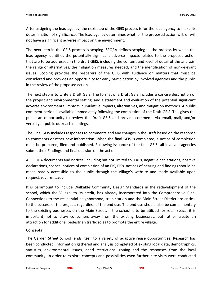After assigning the lead agency, the next step of the GEIS process is for the lead agency to make its determination of significance. The lead agency determines whether the proposed action will, or will not have a significant adverse impact on the environment.

The next step in the GEIS process is scoping. SEQRA defines scoping as the process by which the lead agency identifies the potentially significant adverse impacts related to the proposed action that are to be addressed in the draft GEIS, including the content and level of detail of the analysis, the range of alternatives, the mitigation measures needed, and the identification of non-relevant issues. Scoping provides the preparers of the GEIS with guidance on matters that must be considered and provides an opportunity for early participation by involved agencies and the public in the review of the proposed action.

The next step is to write a Draft GEIS. The format of a Draft GEIS includes a concise description of the project and environmental setting, and a statement and evaluation of the potential significant adverse environmental impacts, cumulative impacts, alternatives, and mitigation methods. A public comment period is available immediately following the completion of the Draft GEIS. This gives the public an opportunity to review the Draft GEIS and provide comments via email, mail, and/or verbally at public outreach meetings.

The Final GEIS includes responses to comments and any changes in the Draft based on the response to comments or other new information. When the final GEIS is completed, a notice of completion must be prepared, filed and published. Following issuance of the final GEIS, all involved agencies submit their Findings and final decision on the action.

All SEQRA documents and notices, including but not limited to, EAFs, negative declarations, positive declarations, scopes, notices of completion of an EIS, EISs, notices of hearing and findings should be made readily accessible to the public through the Village's website and made available upon request. (Source: Nassau County)

It is paramount to include Walkable Community Design Standards in the redevelopment of the school, which the Village, to its credit, has already incorporated into the Comprehensive Plan. Connections to the residential neighborhood, train station and the Main Street District are critical to the success of the project, regardless of the end use. The end use should also be complimentary to the existing businesses on the Main Street. If the school is to be utilized for retail space, it is important not to draw consumers away from the existing businesses, but rather create an attraction for additional pedestrian traffic so as to promote the entire village.

#### **Concepts**

The Garden Street School lends itself to a variety of adaptive reuse opportunities. Research has been conducted, information gathered and analysis completed of existing local data, demographics, statistics, environmental issues, deed restrictions, zoning and the responses from the local community. In order to explore concepts and possibilities even further, site visits were conducted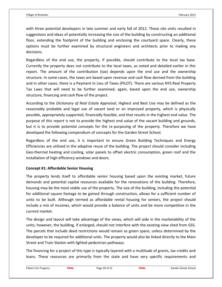with three potential developers in late summer and early fall of 2012. These site visits resulted in suggestions and ideas of potentially increasing the size of the building by constructing an additional floor, extending the footprint of the building and enclosing the courtyard space. Clearly, these options must be further examined by structural engineers and architects prior to making any decisions.

Regardless of the end use, the property, if possible, should contribute to the local tax base. Currently the property does not contribute to the local taxes, as noted and detailed earlier in this report. The amount of the contribution (tax) depends upon the end use and the ownership structure. In some cases, the taxes are based upon revenue and cash flow derived from the building and in other cases, there is a Payment In Lieu of Taxes (PILOT). There are various NYS Real Property Tax Laws that will need to be further examined, again, based upon the end use, ownership structure, financing and cash flow of the project.

According to the *Dictionary of Real Estate Appraisal*, Highest and Best Use may be defined as the reasonably probable and legal use of vacant land or an improved property, which is physically possible, appropriately supported, financially feasible, and that results in the highest end value. The purpose of this report is not to provide the highest end value of the vacant building and grounds, but it is to provide potential concepts for the re-purposing of the property. Therefore we have developed the following compendium of concepts for the Garden Street School.

Regardless of the end use, it is important to ensure Green Building Techniques and Energy Efficiencies are utilized in the adaptive reuse of the building. The project should consider including Geo-thermal heating and cooling, solar panels to offset electric consumption, green roof and the installation of high efficiency windows and doors.

#### **Concept #1: Affordable Senior Housing**

The property lends itself to affordable senior housing based upon the existing market, future demands and potential capital resources available for the renovations of the building. Therefore, housing may be the most viable use of the property. The size of the building, including the potential for additional square footage to be gained through construction, allows for a sufficient number of units to be built. Although termed as affordable rental housing for seniors, the project should include a mix of incomes, which would provide a balance of units and be more competitive in the current market.

The design and layout will take advantage of the views, which will aide in the marketability of the units; however, the building, if enlarged, should not interfere with the existing view shed from GSS. The parcels that include deed restrictions would remain as green space, unless determined by the developer to be required for additional units. The property would also be linked directly to the Main Street and Train Station with lighted pedestrian pathways.

The financing for a project of this type is typically layered with a multitude of grants, tax credits and loans. These resources are primarily from the state and have very specific requirements and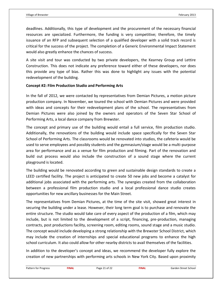deadlines. Additionally, this type of development and the procurement of the necessary financial resources are specialized. Furthermore, the funding is very competitive; therefore, the timely issuance of an RFP and subsequent selection of a qualified developer with a solid track record is critical for the success of the project. The completion of a Generic Environmental Impact Statement would also greatly enhance the chances of success.

A site visit and tour was conducted by two private developers, the Kearney Group and Lettire Construction. This does not indicate any preference toward either of these developers, nor does this provide any type of bias. Rather this was done to highlight any issues with the potential redevelopment of the building.

#### **Concept #2: Film Production Studio and Performing Arts**

In the fall of 2012, we were contacted by representatives from Demian Pictures, a motion picture production company. In November, we toured the school with Demian Pictures and were provided with ideas and concepts for their redevelopment plans of the school. The representatives from Demian Pictures were also joined by the owners and operators of the Seven Star School of Performing Arts, a local dance company from Brewster.

The concept and primary use of the building would entail a full service, film production studio. Additionally, the renovations of the building would include space specifically for the Seven Star School of Performing Arts. The classrooms would be renovated into studios, the cafeteria would be used to serve employees and possibly students and the gymnasium/stage would be a multi-purpose area for performance and as a venue for film production and filming. Part of the renovation and build out process would also include the construction of a sound stage where the current playground is located.

The building would be renovated according to green and sustainable design standards to create a LEED certified facility. The project is anticipated to create 50 new jobs and become a catalyst for additional jobs associated with the performing arts. The synergies created from the collaboration between a professional film production studio and a local professional dance studio creates opportunities for new ancillary businesses for the Main Street.

The representatives from Demian Pictures, at the time of the site visit, showed great interest in securing the building under a lease. However, their long term goal is to purchase and renovate the entire structure. The studio would take care of every aspect of the production of a film, which may include, but is not limited to the development of a script, financing, pre-production, managing contracts, post productions facility, screening room, editing rooms, sound stage and a music studio. The concept would include developing a strong relationship with the Brewster School District, which may include the creation of internships and special educational programs to enhance the high school curriculum. It also could allow for other nearby districts to avail themselves of the facilities.

In addition to the developer's concept and ideas, we recommend the developer fully explore the creation of new partnerships with performing arts schools in New York City. Based upon proximity